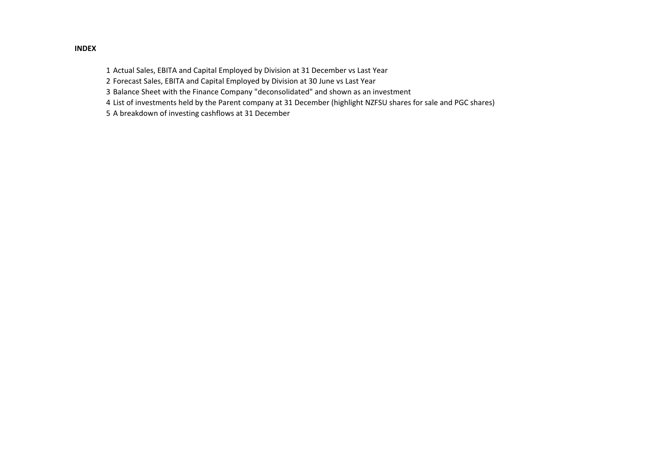# 1 Actual Sales, EBITA and Capital Employed by Division at 31 December vs Last Year

- 2 Forecast Sales, EBITA and Capital Employed by Division at 30 June vs Last Year
- 3 Balance Sheet with the Finance Company "deconsolidated" and shown as an investment
- 4 List of investments held by the Parent company at 31 December (highlight NZFSU shares for sale and PGC shares)
- 5 A breakdown of investing cashflows at 31 December

#### INDEX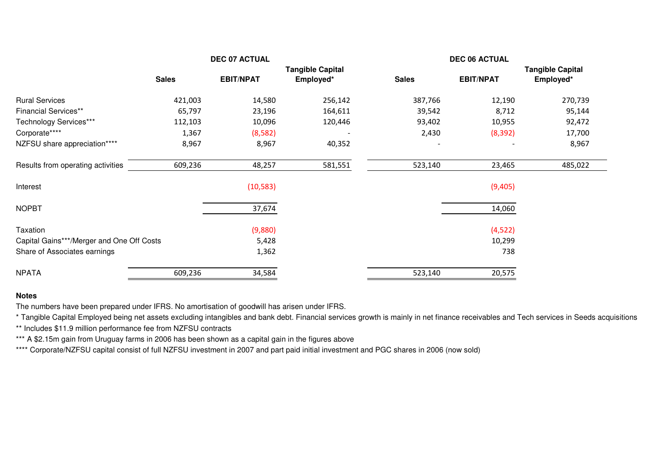|                                           |              | <b>DEC 07 ACTUAL</b> |                         |              | <b>DEC 06 ACTUAL</b> |                         |  |
|-------------------------------------------|--------------|----------------------|-------------------------|--------------|----------------------|-------------------------|--|
|                                           |              |                      | <b>Tangible Capital</b> |              |                      | <b>Tangible Capital</b> |  |
|                                           | <b>Sales</b> | <b>EBIT/NPAT</b>     | Employed*               | <b>Sales</b> | <b>EBIT/NPAT</b>     | Employed*               |  |
| <b>Rural Services</b>                     | 421,003      | 14,580               | 256,142                 | 387,766      | 12,190               | 270,739                 |  |
| <b>Financial Services**</b>               | 65,797       | 23,196               | 164,611                 | 39,542       | 8,712                | 95,144                  |  |
| Technology Services***                    | 112,103      | 10,096               | 120,446                 | 93,402       | 10,955               | 92,472                  |  |
| Corporate****                             | 1,367        | (8,582)              |                         | 2,430        | (8, 392)             | 17,700                  |  |
| NZFSU share appreciation****              | 8,967        | 8,967                | 40,352                  |              |                      | 8,967                   |  |
| Results from operating activities         | 609,236      | 48,257               | 581,551                 | 523,140      | 23,465               | 485,022                 |  |
| Interest                                  |              | (10, 583)            |                         |              | (9,405)              |                         |  |
| <b>NOPBT</b>                              |              | 37,674               |                         |              | 14,060               |                         |  |
| Taxation                                  |              | (9,880)              |                         |              | (4,522)              |                         |  |
| Capital Gains***/Merger and One Off Costs |              | 5,428                |                         |              | 10,299               |                         |  |
| Share of Associates earnings              |              | 1,362                |                         |              | 738                  |                         |  |
| <b>NPATA</b>                              | 609,236      | 34,584               |                         | 523,140      | 20,575               |                         |  |

#### **Notes**

The numbers have been prepared under IFRS. No amortisation of goodwill has arisen under IFRS.

\* Tangible Capital Employed being net assets excluding intangibles and bank debt. Financial services growth is mainly in net finance receivables and Tech services in Seeds acquisitions

\*\* Includes \$11.9 million performance fee from NZFSU contracts

\*\*\* A \$2.15m gain from Uruguay farms in 2006 has been shown as a capital gain in the figures above

\*\*\*\* Corporate/NZFSU capital consist of full NZFSU investment in 2007 and part paid initial investment and PGC shares in 2006 (now sold)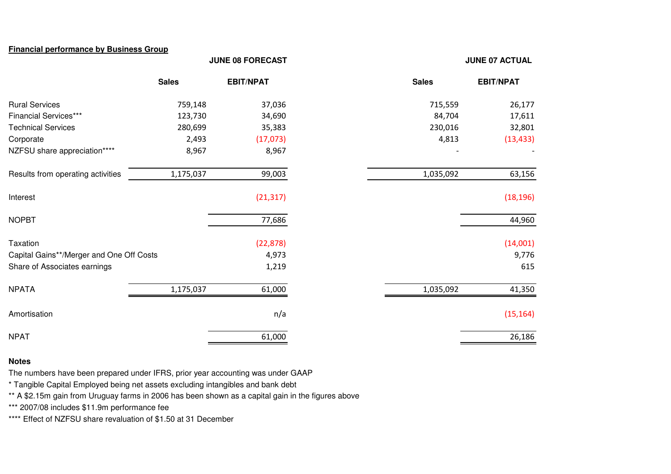### **Financial performance by Business Group**

#### **JUNE 08 FORECAST**

#### **JUNE 07 ACTUAL**

|                                          | <b>Sales</b> | <b>EBIT/NPAT</b> | <b>Sales</b> | <b>EBIT/NPAT</b> |
|------------------------------------------|--------------|------------------|--------------|------------------|
| <b>Rural Services</b>                    | 759,148      | 37,036           | 715,559      | 26,177           |
| <b>Financial Services***</b>             | 123,730      | 34,690           | 84,704       | 17,611           |
| <b>Technical Services</b>                | 280,699      | 35,383           | 230,016      | 32,801           |
| Corporate                                | 2,493        | (17,073)         | 4,813        | (13, 433)        |
| NZFSU share appreciation****             | 8,967        | 8,967            |              |                  |
| Results from operating activities        | 1,175,037    | 99,003           | 1,035,092    | 63,156           |
| Interest                                 |              | (21, 317)        |              | (18, 196)        |
| <b>NOPBT</b>                             |              | 77,686           |              | 44,960           |
| Taxation                                 |              | (22, 878)        |              | (14,001)         |
| Capital Gains**/Merger and One Off Costs |              | 4,973            |              | 9,776            |
| Share of Associates earnings             |              | 1,219            |              | 615              |
| <b>NPATA</b>                             | 1,175,037    | 61,000           | 1,035,092    | 41,350           |
| Amortisation                             |              | n/a              |              | (15, 164)        |
| <b>NPAT</b>                              |              | 61,000           |              | 26,186           |

#### **Notes**

The numbers have been prepared under IFRS, prior year accounting was under GAAP

\* Tangible Capital Employed being net assets excluding intangibles and bank debt

\*\* A \$2.15m gain from Uruguay farms in 2006 has been shown as a capital gain in the figures above

\*\*\* 2007/08 includes \$11.9m performance fee

\*\*\*\* Effect of NZFSU share revaluation of \$1.50 at 31 December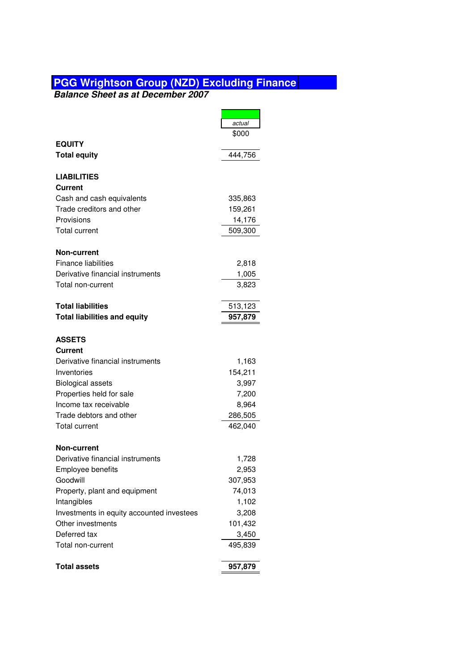## **PGG Wrightson Group (NZD) Excluding Finance**

**Balance Sheet as at December 2007**

|                                                   | actual           |
|---------------------------------------------------|------------------|
|                                                   | \$000            |
| <b>EQUITY</b>                                     |                  |
| <b>Total equity</b>                               | 444,756          |
|                                                   |                  |
| <b>LIABILITIES</b>                                |                  |
| <b>Current</b>                                    |                  |
| Cash and cash equivalents                         | 335,863          |
| Trade creditors and other                         | 159,261          |
| Provisions                                        | 14,176           |
| <b>Total current</b>                              | 509,300          |
|                                                   |                  |
| <b>Non-current</b>                                |                  |
| <b>Finance liabilities</b>                        | 2,818            |
| Derivative financial instruments                  | 1,005            |
| Total non-current                                 | 3,823            |
|                                                   |                  |
| <b>Total liabilities</b>                          | 513,123          |
| <b>Total liabilities and equity</b>               | 957,879          |
| <b>ASSETS</b>                                     |                  |
| <b>Current</b>                                    |                  |
| Derivative financial instruments                  |                  |
| Inventories                                       | 1,163<br>154,211 |
|                                                   |                  |
| <b>Biological assets</b>                          | 3,997            |
| Properties held for sale<br>Income tax receivable | 7,200            |
| Trade debtors and other                           | 8,964            |
|                                                   | 286,505          |
| <b>Total current</b>                              | 462,040          |
| Non-current                                       |                  |
| Derivative financial instruments                  | 1,728            |
| Employee benefits                                 | 2,953            |
| Goodwill                                          | 307,953          |
| Property, plant and equipment                     | 74,013           |
| Intangibles                                       | 1,102            |
| Investments in equity accounted investees         | 3,208            |
| Other investments                                 | 101,432          |
| Deferred tax                                      | 3,450            |
| Total non-current                                 | 495,839          |
|                                                   |                  |
| <b>Total assets</b>                               | 957,879          |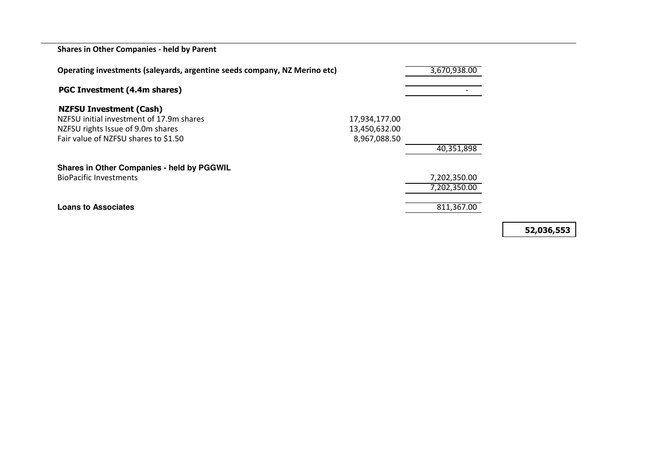Shares in Other Companies - held by Parent

| Operating investments (saleyards, argentine seeds company, NZ Merino etc) | 3,670,938.00  |              |  |
|---------------------------------------------------------------------------|---------------|--------------|--|
| PGC Investment (4.4m shares)                                              |               |              |  |
| <b>NZFSU Investment (Cash)</b>                                            |               |              |  |
| NZFSU initial investment of 17.9m shares                                  | 17,934,177.00 |              |  |
| NZFSU rights Issue of 9.0m shares                                         | 13,450,632.00 |              |  |
| Fair value of NZFSU shares to \$1.50                                      | 8,967,088.50  |              |  |
|                                                                           |               | 40,351,898   |  |
| <b>Shares in Other Companies - held by PGGWIL</b>                         |               |              |  |
| <b>BioPacific Investments</b>                                             |               | 7,202,350.00 |  |
|                                                                           |               | 7,202,350.00 |  |
| <b>Loans to Associates</b>                                                |               | 811,367.00   |  |
|                                                                           |               |              |  |

52,036,553